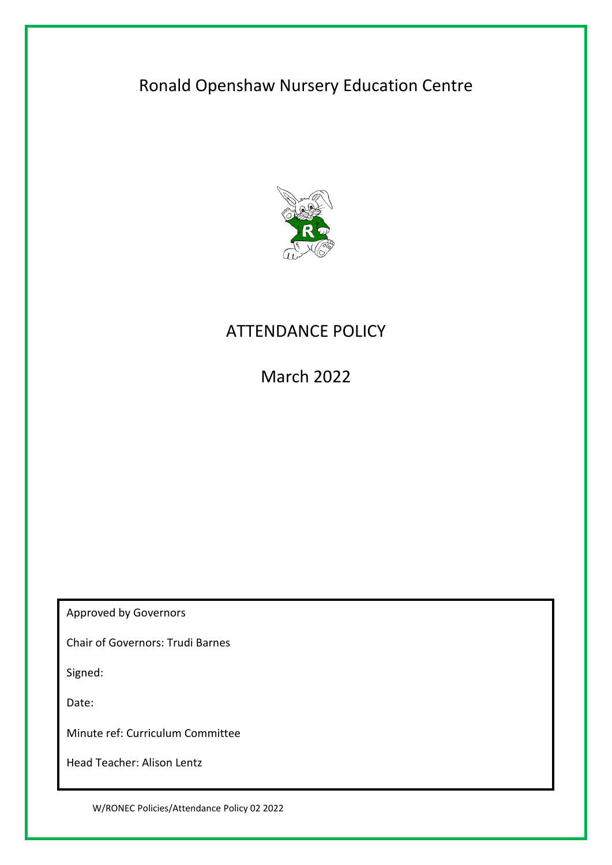# Ronald Openshaw Nursery Education Centre



# ATTENDANCE POLICY

March 2022

Approved by Governors

Chair of Governors: Trudi Barnes

Signed:

Date:

Minute ref: Curriculum Committee

Head Teacher: Alison Lentz

W/RONEC Policies/Attendance Policy 02 2022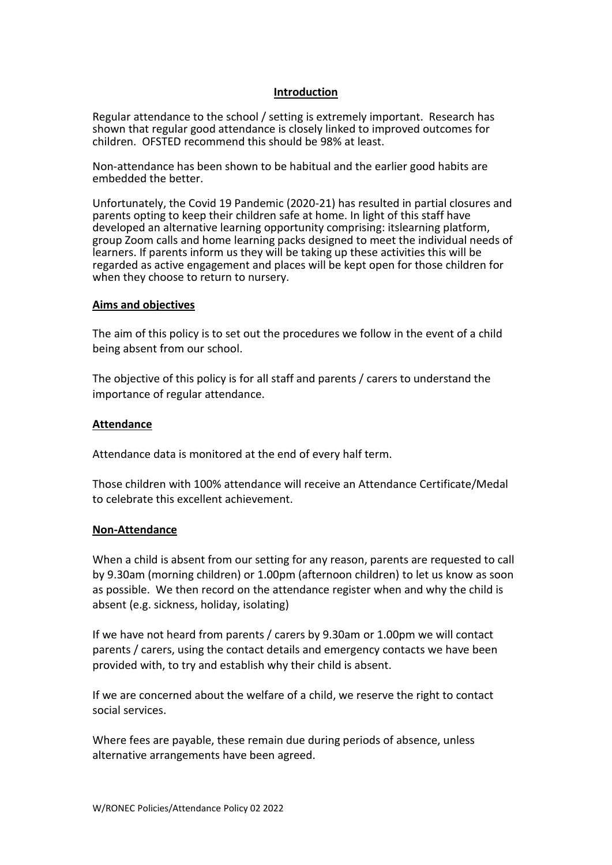### **Introduction**

Regular attendance to the school / setting is extremely important. Research has shown that regular good attendance is closely linked to improved outcomes for children. OFSTED recommend this should be 98% at least.

Non-attendance has been shown to be habitual and the earlier good habits are embedded the better.

Unfortunately, the Covid 19 Pandemic (2020-21) has resulted in partial closures and parents opting to keep their children safe at home. In light of this staff have developed an alternative learning opportunity comprising: itslearning platform, group Zoom calls and home learning packs designed to meet the individual needs of learners. If parents inform us they will be taking up these activities this will be regarded as active engagement and places will be kept open for those children for when they choose to return to nursery.

### **Aims and objectives**

The aim of this policy is to set out the procedures we follow in the event of a child being absent from our school.

The objective of this policy is for all staff and parents / carers to understand the importance of regular attendance.

### **Attendance**

Attendance data is monitored at the end of every half term.

Those children with 100% attendance will receive an Attendance Certificate/Medal to celebrate this excellent achievement.

#### **Non-Attendance**

When a child is absent from our setting for any reason, parents are requested to call by 9.30am (morning children) or 1.00pm (afternoon children) to let us know as soon as possible. We then record on the attendance register when and why the child is absent (e.g. sickness, holiday, isolating)

If we have not heard from parents / carers by 9.30am or 1.00pm we will contact parents / carers, using the contact details and emergency contacts we have been provided with, to try and establish why their child is absent.

If we are concerned about the welfare of a child, we reserve the right to contact social services.

Where fees are payable, these remain due during periods of absence, unless alternative arrangements have been agreed.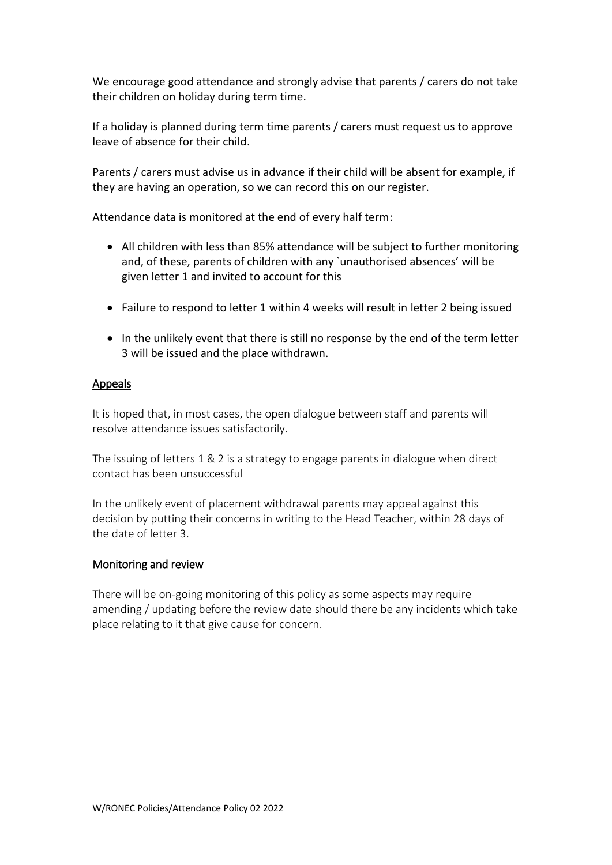We encourage good attendance and strongly advise that parents / carers do not take their children on holiday during term time.

If a holiday is planned during term time parents / carers must request us to approve leave of absence for their child.

Parents / carers must advise us in advance if their child will be absent for example, if they are having an operation, so we can record this on our register.

Attendance data is monitored at the end of every half term:

- All children with less than 85% attendance will be subject to further monitoring and, of these, parents of children with any `unauthorised absences' will be given letter 1 and invited to account for this
- Failure to respond to letter 1 within 4 weeks will result in letter 2 being issued
- In the unlikely event that there is still no response by the end of the term letter 3 will be issued and the place withdrawn.

## Appeals

It is hoped that, in most cases, the open dialogue between staff and parents will resolve attendance issues satisfactorily.

The issuing of letters 1 & 2 is a strategy to engage parents in dialogue when direct contact has been unsuccessful

In the unlikely event of placement withdrawal parents may appeal against this decision by putting their concerns in writing to the Head Teacher, within 28 days of the date of letter 3.

## Monitoring and review

There will be on-going monitoring of this policy as some aspects may require amending / updating before the review date should there be any incidents which take place relating to it that give cause for concern.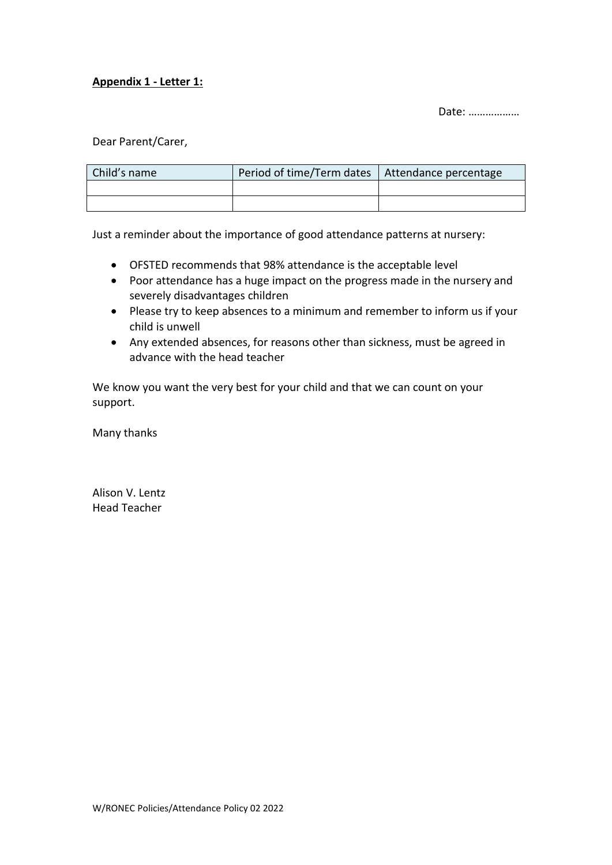# **Appendix 1 - Letter 1:**

Date: ………………

Dear Parent/Carer,

| Child's name | Period of time/Term dates   Attendance percentage |  |
|--------------|---------------------------------------------------|--|
|              |                                                   |  |
|              |                                                   |  |

Just a reminder about the importance of good attendance patterns at nursery:

- OFSTED recommends that 98% attendance is the acceptable level
- Poor attendance has a huge impact on the progress made in the nursery and severely disadvantages children
- Please try to keep absences to a minimum and remember to inform us if your child is unwell
- Any extended absences, for reasons other than sickness, must be agreed in advance with the head teacher

We know you want the very best for your child and that we can count on your support.

Many thanks

Alison V. Lentz Head Teacher